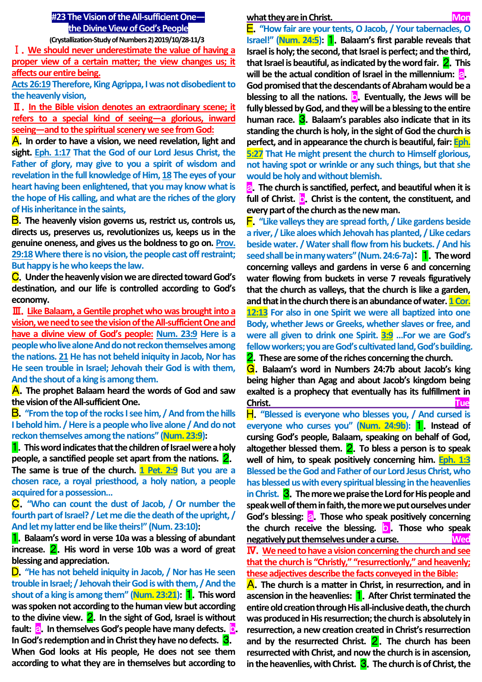# **#23 The Vision of the All-sufficient One the Divine View of God's People**

**(Crystallization-Study of Numbers 2) 2019/10/28-11/3**

Ⅰ.**We should never underestimate the value of having a proper view of a certain matter; the view changes us; it affects our entire being.**

**Acts 26:19 Therefore, King Agrippa, I was not disobedient to the heavenly vision,**

Ⅱ.**In the Bible vision denotes an extraordinary scene; it refers to a special kind of seeing—a glorious, inward seeing—and to the spiritual scenery we see from God:**

A.**In order to have a vision, we need revelation, light and sight. Eph. 1:17 That the God of our Lord Jesus Christ, the Father of glory, may give to you a spirit of wisdom and revelation in the full knowledge of Him, 18 The eyes of your heart having been enlightened, that you may know what is the hope of His calling, and what are the riches of the glory of His inheritance in the saints,**

B.**The heavenly vision governs us, restrict us, controls us, directs us, preserves us, revolutionizes us, keeps us in the genuine oneness, and gives us the boldness to go on. Prov. 29:18Where there is no vision, the people cast off restraint; But happy is he who keeps the law.**

C.**Under the heavenly vision we are directed toward God's destination, and our life is controlled according to God's economy.**

Ⅲ.**Like Balaam, a Gentile prophet who was brought into a vision, we need to see the vision of the All-sufficient One and have a divine view of God's people: Num. 23:9 Here is a people who live alone And do not reckon themselves among the nations. 21He has not beheld iniquity in Jacob, Nor has He seen trouble in Israel; Jehovah their God is with them, And the shout of a king is among them.**

A.**The prophet Balaam heard the words of God and saw the vision of the All-sufficient One.**

B.**"From the top of the rocks I see him, / And from the hills I behold him. / Here is a people who live alone / And do not reckon themselves among the nations" (Num. 23:9):**

1.**This word indicates that the children of Israel were a holy people, a sanctified people set apart from the nations.** 2. **The same is true of the church. 1 Pet. 2:9 But you are a chosen race, a royal priesthood, a holy nation, a people acquired for a possession…**

C.**"Who can count the dust of Jacob, / Or number the fourth part of Israel? / Let me die the death of the upright, / And let my latter end be like theirs!" (Num. 23:10):**

1.**Balaam's word in verse 10a was a blessing of abundant increase.** 2.**His word in verse 10b was a word of great blessing and appreciation.**

D.**"He has not beheld iniquity in Jacob, / Nor has He seen trouble in Israel; / Jehovah their God is with them, / And the shout of a king is among them" (Num. 23:21):** 1.**This word was spoken not according to the human view but according to the divine view.** 2.**In the sight of God, Israel is without**  fault: **a.** In themselves God's people have many defects. **b. In God's redemption and in Christ they have no defects.** 3. **When God looks at His people, He does not see them according to what they are in themselves but according to**

#### **what they are in Christ. Monomial State of Table 19. Monomial Monomial Monomial Monomial Monomial Monomial Monomial Monomial Monomial Monomial Monomial Monomial Monomial Monomial Monomial Monomial Monomial Monomial Mono**

E.**"How fair are your tents, O Jacob, / Your tabernacles, O Israel!" (Num. 24:5):** 1.**Balaam's first parable reveals that Israel is holy; the second, that Israel is perfect; and the third, that Israel is beautiful, as indicated by the word fair. <b>2**. This will be the actual condition of Israel in the millennium: **a. God promised that the descendants of Abraham would be a blessing to all the nations.** b.**Eventually, the Jews will be fully blessed by God, and they will be a blessing to the entire human race.** 3.**Balaam's parables also indicate that in its standing the church is holy, in the sight of God the church is perfect, and in appearance the church is beautiful, fair: Eph. 5:27 That He might present the church to Himself glorious, not having spot or wrinkle or any such things, but that she would be holy and without blemish.**

a.**The church is sanctified, perfect, and beautiful when it is full of Christ.** b.**Christ is the content, the constituent, and every part of the church as the new man.**

F.**"Like valleys they are spread forth, / Like gardens beside a river, / Like aloes which Jehovah has planted, / Like cedars beside water. / Water shall flow from his buckets. / And his seed shall be in many waters" (Num. 24:6-7a)**: 1.**The word concerning valleys and gardens in verse 6 and concerning water flowing from buckets in verse 7 reveals figuratively that the church as valleys, that the church is like a garden, and that in the church there is an abundance of water. 1 Cor. 12:13 For also in one Spirit we were all baptized into one Body, whether Jews or Greeks, whether slaves or free, and were all given to drink one Spirit. 3:9 …For we are God's fellow workers; you are God's cultivated land, God's building.** 2.**These are some of the riches concerning the church.**

G.**Balaam's word in Numbers 24:7b about Jacob's king being higher than Agag and about Jacob's kingdom being exalted is a prophecy that eventually has its fulfillment in Christ. Tue**

H.**"Blessed is everyone who blesses you, / And cursed is everyone who curses you" (Num. 24:9b):** 1.**Instead of cursing God's people, Balaam, speaking on behalf of God, altogether blessed them.** 2.**To bless a person is to speak well of him, to speak positively concerning him. Eph. 1:3 Blessed be the God and Father of our Lord Jesus Christ, who has blessed us with every spiritual blessing in the heavenlies in Christ.** 3.**The more we praise the Lord for His people and speak well of them in faith, the more we put ourselves under**  God's blessing: **a.** Those who speak positively concerning **the church receive the blessing.** b . **Those who speak negatively put themselves under a curse. Wed** Ⅳ.**We need to have a vision concerning the church and see that the church is "Christly," "resurrectionly," and heavenly; these adjectives describe the facts conveyed in the Bible:**

A.**The church is a matter in Christ, in resurrection, and in ascension in the heavenlies:** 1.**After Christ terminated the entire old creation through His all-inclusive death, the church was produced in His resurrection; the church is absolutely in resurrection, a new creation created in Christ's resurrection and by the resurrected Christ.** 2.**The church has been resurrected with Christ, and now the church is in ascension, in the heavenlies, with Christ.** 3.**The church is of Christ, the**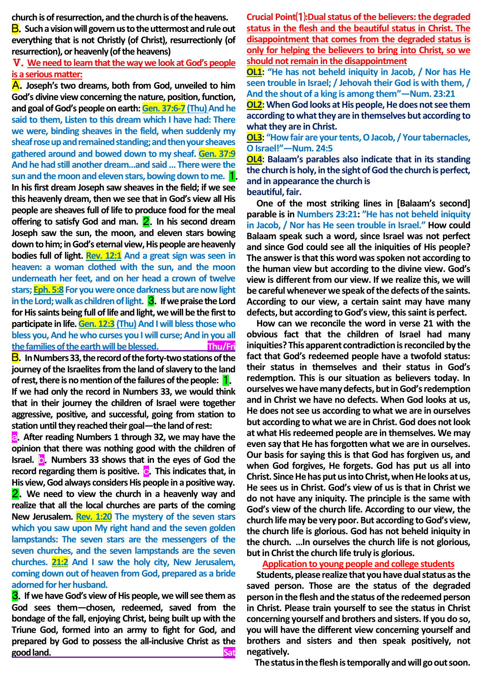**church is of resurrection, and the church is of the heavens.**

B.**Such a vision will govern us to the uttermost and rule out everything that is not Christly (of Christ), resurrectionly (of resurrection), or heavenly (of the heavens)** 

Ⅴ.**We need to learn that the way we look at God's people is a serious matter:**

A.**Joseph's two dreams, both from God, unveiled to him God's divine view concerning the nature, position, function, and goal of God's people on earth: Gen. 37:6-7 (Thu)And he said to them, Listen to this dream which I have had: There we were, binding sheaves in the field, when suddenly my sheaf rose up and remained standing; and then your sheaves gathered around and bowed down to my sheaf. Gen. 37:9 And he had still another dream…and said … There were the sun and the moon and eleven stars, bowing down to me.** 1. **In his first dream Joseph saw sheaves in the field; if we see this heavenly dream, then we see that in God's view all His people are sheaves full of life to produce food for the meal offering to satisfy God and man. 2.** In his second dream **Joseph saw the sun, the moon, and eleven stars bowing down to him; in God's eternal view, His people are heavenly bodies full of light. Rev. 12:1 And a great sign was seen in heaven: a woman clothed with the sun, and the moon underneath her feet, and on her head a crown of twelve stars; Eph. 5:8 For you were once darkness but are now light in the Lord; walk as children of light.** 3.**If we praise the Lord for His saints being full of life and light, we will be the first to participate in life. Gen. 12:3** (Thu) And I will bless those who **bless you, And he who curses you I will curse; And in you all the families of the earth will be blessed. Thu/Fri** B.**In Numbers 33, the record of the forty-two stations of the** 

**journey of the Israelites from the land of slavery to the land of rest, there is no mention of the failures of the people:** 1. **If we had only the record in Numbers 33, we would think that in their journey the children of Israel were together aggressive, positive, and successful, going from station to station until they reached their goal—the land of rest:**

**a.** After reading Numbers 1 through 32, we may have the **opinion that there was nothing good with the children of Israel. b.** Numbers 33 shows that in the eyes of God the **record regarding them is positive. c.** This indicates that, in **His view, God always considers His people in a positive way.** 2.**We need to view the church in a heavenly way and realize that all the local churches are parts of the coming New Jerusalem. Rev. 1:20 The mystery of the seven stars which you saw upon My right hand and the seven golden lampstands: The seven stars are the messengers of the seven churches, and the seven lampstands are the seven churches. 21:2 And I saw the holy city, New Jerusalem, coming down out of heaven from God, prepared as a bride adorned for her husband.**

3.**If we have God's view of His people, we will see them as God sees them—chosen, redeemed, saved from the bondage of the fall, enjoying Christ, being built up with the Triune God, formed into an army to fight for God, and prepared by God to possess the all-inclusive Christ as the good land.** Sat

**Crucial Point**⑴**:Dual status of the believers: the degraded status in the flesh and the beautiful status in Christ. The disappointment that comes from the degraded status is only for helping the believers to bring into Christ, so we should not remain in the disappointment**

**OL1: "He has not beheld iniquity in Jacob, / Nor has He seen trouble in Israel; / Jehovah their God is with them, / And the shout of a king is among them"—Num. 23:21**

**OL2:** When God looks at His people, He does not see them **according to what they are in themselves but according to what they are in Christ.**

**OL3: "How fair are your tents, O Jacob, / Your tabernacles, O Israel!"—Num. 24:5**

**OL4: Balaam's parables also indicate that in its standing the church is holy, in the sight of God the church is perfect, and in appearance the church is beautiful, fair.**

**One of the most striking lines in [Balaam's second] parable is in Numbers 23:21: "He has not beheld iniquity in Jacob, / Nor has He seen trouble in Israel." How could Balaam speak such a word, since Israel was not perfect and since God could see all the iniquities of His people? The answer is that this word was spoken not according to the human view but according to the divine view. God's view is different from our view. If we realize this, we will be careful whenever we speak of the defects of the saints. According to our view, a certain saint may have many defects, but according to God's view,this saint is perfect.**

**How can we reconcile the word in verse 21 with the obvious fact that the children of Israel had many iniquities? This apparent contradiction is reconciled by the fact that God's redeemed people have a twofold status: their status in themselves and their status in God's redemption. This is our situation as believers today. In ourselves we have many defects, but in God's redemption and in Christ we have no defects. When God looks at us, He does not see us according to what we are in ourselves but according to what we are in Christ. God does not look at what His redeemed people are in themselves. We may even say that He has forgotten what we are in ourselves. Our basis for saying this is that God has forgiven us, and when God forgives, He forgets. God has put us all into Christ. Since He has put us into Christ, when He looks at us, He sees us in Christ. God's view of us is that in Christ we do not have any iniquity. The principle is the same with God's view of the church life. According to our view, the church life may be very poor. But according to God's view, the church life is glorious. God has not beheld iniquity in the church. …In ourselves the church life is not glorious, but in Christ the church life truly is glorious.**

## **Application to young people and college students**

**Students, please realize that you have dual status as the saved person. Those are the status of the degraded person in the flesh and the status of the redeemed person in Christ. Please train yourself to see the status in Christ concerning yourself and brothers and sisters. If you do so, you will have the different view concerning yourself and brothers and sisters and then speak positively, not negatively.**

**The status in the flesh is temporally and will go out soon.**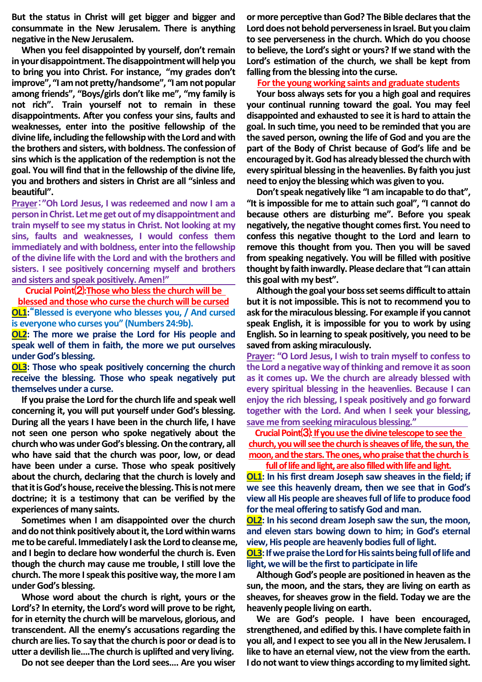**But the status in Christ will get bigger and bigger and consummate in the New Jerusalem. There is anything negative in the New Jerusalem.**

**When you feel disappointed by yourself, don't remain in your disappointment. The disappointment will help you to bring you into Christ. For instance, "my grades don't improve", "I am not pretty/handsome", "I am not popular among friends", "Boys/girls don't like me", "my family is not rich". Train yourself not to remain in these disappointments. After you confess your sins, faults and weaknesses, enter into the positive fellowship of the divine life, including the fellowship with the Lord and with the brothers and sisters, with boldness. The confession of sins which is the application of the redemption is not the goal. You will find that in the fellowship of the divine life, you and brothers and sisters in Christ are all "sinless and beautiful".**

**Prayer**:**"Oh Lord Jesus, I was redeemed and now I am a person in Christ. Let me get out of my disappointment and train myself to see my status in Christ. Not looking at my sins, faults and weaknesses, I would confess them immediately and with boldness, enter into the fellowship of the divine life with the Lord and with the brothers and sisters. I see positively concerning myself and brothers and sisters and speak positively. Amen!"**

**Crucial Point**⑵**:Those who bless the church will be blessed and those who curse the church will be cursed OL1:**"**Blessed is everyone who blesses you, / And cursed is everyone who curses you" (Numbers 24:9b).**

**OL2: The more we praise the Lord for His people and speak well of them in faith, the more we put ourselves under God's blessing.**

**OL3: Those who speak positively concerning the church receive the blessing. Those who speak negatively put themselves under a curse.**

**If you praise the Lord for the church life and speak well concerning it, you will put yourself under God's blessing. During all the years I have been in the church life, I have not seen one person who spoke negatively about the church who was under God's blessing. On the contrary, all who have said that the church was poor, low, or dead have been under a curse. Those who speak positively about the church, declaring that the church is lovely and that it is God's house, receive the blessing. This is not mere doctrine; it is a testimony that can be verified by the experiences of many saints.**

**Sometimes when I am disappointed over the church and do not think positively about it, the Lord within warns me to be careful. Immediately I ask the Lord to cleanse me, and I begin to declare how wonderful the church is. Even though the church may cause me trouble, I still love the church. The more I speak this positive way, the more I am under God's blessing.**

**Whose word about the church is right, yours or the Lord's? In eternity, the Lord's word will prove to be right, for in eternity the church will be marvelous, glorious, and transcendent. All the enemy's accusations regarding the church are lies. To say that the church is poor or dead is to utter a devilish lie….The church is uplifted and very living.**

**Do not see deeper than the Lord sees…. Are you wiser** 

**or more perceptive than God? The Bible declares that the Lord does not behold perverseness in Israel. But you claim to see perverseness in the church. Which do you choose to believe, the Lord's sight or yours? If we stand with the Lord's estimation of the church, we shall be kept from falling from the blessing into the curse.**

#### **For the young working saints and graduate students**

**Your boss always sets for you a high goal and requires your continual running toward the goal. You may feel disappointed and exhausted to see it is hard to attain the goal. In such time, you need to be reminded that you are the saved person, owning the life of God and you are the part of the Body of Christ because of God's life and be encouraged by it. God has already blessed the church with every spiritual blessing in the heavenlies. By faith you just need to enjoy the blessing which was given to you.** 

**Don't speak negatively like "I am incapable to do that", "It is impossible for me to attain such goal", "I cannot do because others are disturbing me". Before you speak negatively, the negative thought comes first. You need to confess this negative thought to the Lord and learn to remove this thought from you. Then you will be saved from speaking negatively. You will be filled with positive thought by faith inwardly. Please declare that "I can attain this goal with my best".**

**Although the goal your boss set seems difficult to attain but it is not impossible. This is not to recommend you to ask for the miraculous blessing. For example if you cannot speak English, it is impossible for you to work by using English. So in learning to speak positively, you need to be saved from asking miraculously.** 

**Prayer: "O Lord Jesus, I wish to train myself to confess to the Lord a negative way of thinking and remove it as soon as it comes up. We the church are already blessed with every spiritual blessing in the heavenlies. Because I can enjoy the rich blessing, I speak positively and go forward together with the Lord. And when I seek your blessing, save me from seeking miraculous blessing."**

**Crucial Point**⑶**:If you use the divine telescope to see the**  church, you will see the church is sheaves of life, the sun, the **moon, and the stars. The ones, who praise that the church is** 

**full of life and light, are also filled with life and light. OL1: In his first dream Joseph saw sheaves in the field; if** 

**we see this heavenly dream, then we see that in God's view all His people are sheaves full of life to produce food for the meal offering to satisfy God and man.**

**OL2: In his second dream Joseph saw the sun, the moon, and eleven stars bowing down to him; in God's eternal view, His people are heavenly bodies full of light.**

**OL3:** If we praise the Lord for His saints being full of life and **light, we will be the first to participate in life**

**Although God's people are positioned in heaven as the sun, the moon, and the stars, they are living on earth as sheaves, for sheaves grow in the field. Today we are the heavenly people living on earth.**

**We are God's people. I have been encouraged, strengthened, and edified by this. I have complete faith in you all, and I expect to see you all in the New Jerusalem. I like to have an eternal view, not the view from the earth. I do not want to view things according to my limited sight.**